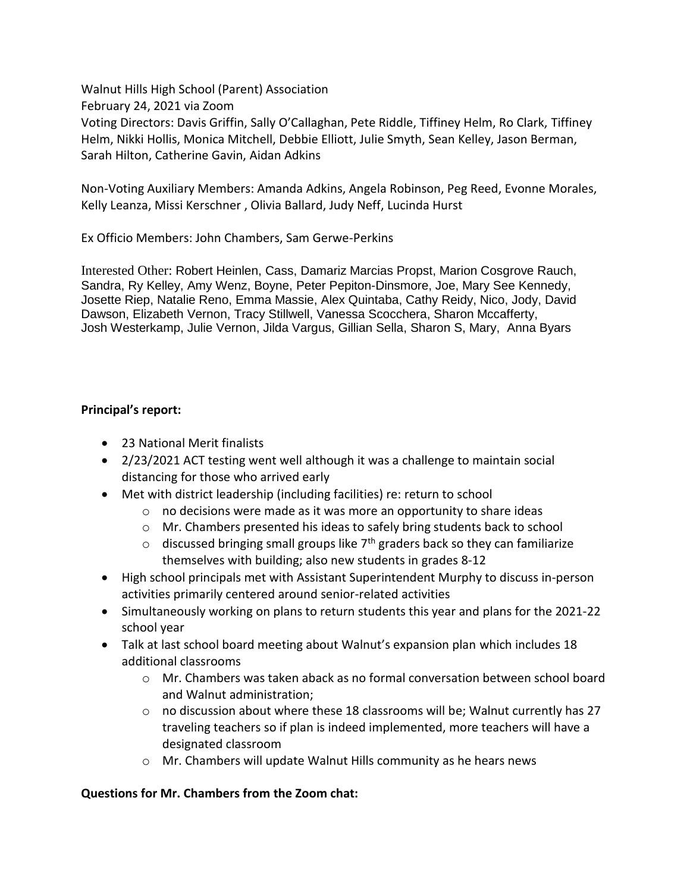Walnut Hills High School (Parent) Association February 24, 2021 via Zoom Voting Directors: Davis Griffin, Sally O'Callaghan, Pete Riddle, Tiffiney Helm, Ro Clark, Tiffiney Helm, Nikki Hollis, Monica Mitchell, Debbie Elliott, Julie Smyth, Sean Kelley, Jason Berman, Sarah Hilton, Catherine Gavin, Aidan Adkins

Non-Voting Auxiliary Members: Amanda Adkins, Angela Robinson, Peg Reed, Evonne Morales, Kelly Leanza, Missi Kerschner , Olivia Ballard, Judy Neff, Lucinda Hurst

Ex Officio Members: John Chambers, Sam Gerwe-Perkins

Interested Other: Robert Heinlen, Cass, Damariz Marcias Propst, Marion Cosgrove Rauch, Sandra, Ry Kelley, Amy Wenz, Boyne, Peter Pepiton-Dinsmore, Joe, Mary See Kennedy, Josette Riep, Natalie Reno, Emma Massie, Alex Quintaba, Cathy Reidy, Nico, Jody, David Dawson, Elizabeth Vernon, Tracy Stillwell, Vanessa Scocchera, Sharon Mccafferty, Josh Westerkamp, Julie Vernon, Jilda Vargus, Gillian Sella, Sharon S, Mary, Anna Byars

#### **Principal's report:**

- 23 National Merit finalists
- 2/23/2021 ACT testing went well although it was a challenge to maintain social distancing for those who arrived early
- Met with district leadership (including facilities) re: return to school
	- o no decisions were made as it was more an opportunity to share ideas
	- o Mr. Chambers presented his ideas to safely bring students back to school
	- $\circ$  discussed bringing small groups like 7<sup>th</sup> graders back so they can familiarize themselves with building; also new students in grades 8-12
- High school principals met with Assistant Superintendent Murphy to discuss in-person activities primarily centered around senior-related activities
- Simultaneously working on plans to return students this year and plans for the 2021-22 school year
- Talk at last school board meeting about Walnut's expansion plan which includes 18 additional classrooms
	- o Mr. Chambers was taken aback as no formal conversation between school board and Walnut administration;
	- $\circ$  no discussion about where these 18 classrooms will be; Walnut currently has 27 traveling teachers so if plan is indeed implemented, more teachers will have a designated classroom
	- o Mr. Chambers will update Walnut Hills community as he hears news

#### **Questions for Mr. Chambers from the Zoom chat:**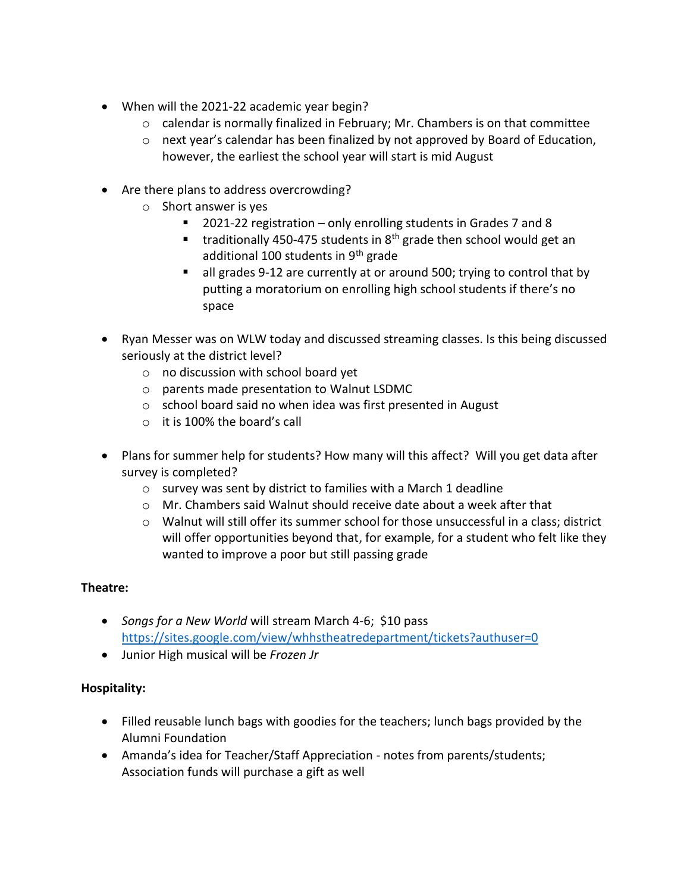- When will the 2021-22 academic year begin?
	- o calendar is normally finalized in February; Mr. Chambers is on that committee
	- $\circ$  next year's calendar has been finalized by not approved by Board of Education, however, the earliest the school year will start is mid August
- Are there plans to address overcrowding?
	- o Short answer is yes
		- 2021-22 registration only enrolling students in Grades 7 and 8
		- **traditionally 450-475 students in 8th grade then school would get an** additional 100 students in  $9<sup>th</sup>$  grade
		- all grades 9-12 are currently at or around 500; trying to control that by putting a moratorium on enrolling high school students if there's no space
- Ryan Messer was on WLW today and discussed streaming classes. Is this being discussed seriously at the district level?
	- o no discussion with school board yet
	- o parents made presentation to Walnut LSDMC
	- o school board said no when idea was first presented in August
	- o it is 100% the board's call
- Plans for summer help for students? How many will this affect? Will you get data after survey is completed?
	- o survey was sent by district to families with a March 1 deadline
	- $\circ$  Mr. Chambers said Walnut should receive date about a week after that
	- $\circ$  Walnut will still offer its summer school for those unsuccessful in a class; district will offer opportunities beyond that, for example, for a student who felt like they wanted to improve a poor but still passing grade

# **Theatre:**

- *Songs for a New World* will stream March 4-6; \$10 pass <https://sites.google.com/view/whhstheatredepartment/tickets?authuser=0>
- Junior High musical will be *Frozen Jr*

# **Hospitality:**

- Filled reusable lunch bags with goodies for the teachers; lunch bags provided by the Alumni Foundation
- Amanda's idea for Teacher/Staff Appreciation notes from parents/students; Association funds will purchase a gift as well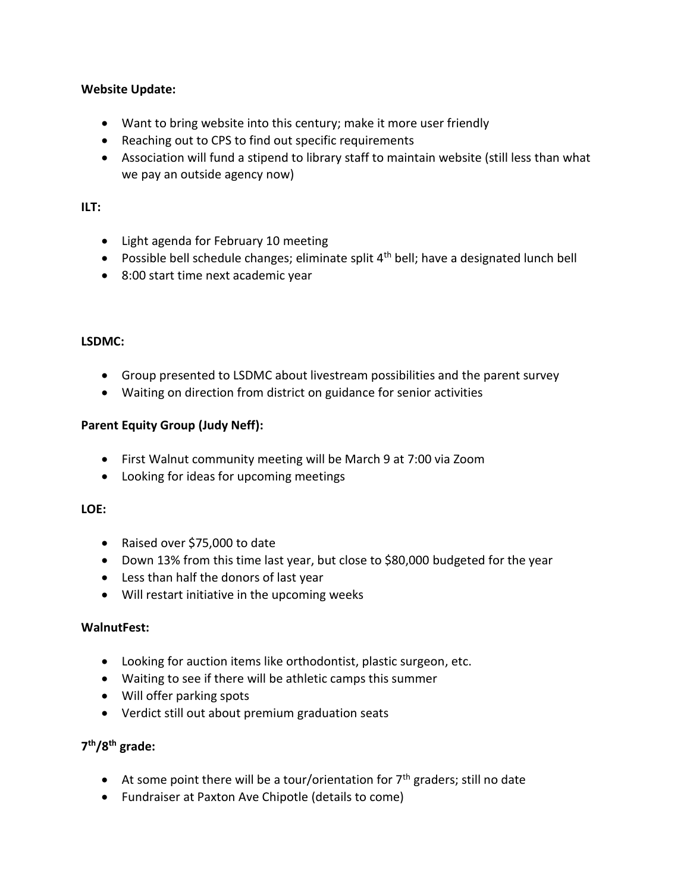### **Website Update:**

- Want to bring website into this century; make it more user friendly
- Reaching out to CPS to find out specific requirements
- Association will fund a stipend to library staff to maintain website (still less than what we pay an outside agency now)

### **ILT:**

- Light agenda for February 10 meeting
- **•** Possible bell schedule changes; eliminate split  $4<sup>th</sup>$  bell; have a designated lunch bell
- 8:00 start time next academic year

### **LSDMC:**

- Group presented to LSDMC about livestream possibilities and the parent survey
- Waiting on direction from district on guidance for senior activities

### **Parent Equity Group (Judy Neff):**

- First Walnut community meeting will be March 9 at 7:00 via Zoom
- Looking for ideas for upcoming meetings

#### **LOE:**

- Raised over \$75,000 to date
- Down 13% from this time last year, but close to \$80,000 budgeted for the year
- Less than half the donors of last year
- Will restart initiative in the upcoming weeks

#### **WalnutFest:**

- Looking for auction items like orthodontist, plastic surgeon, etc.
- Waiting to see if there will be athletic camps this summer
- Will offer parking spots
- Verdict still out about premium graduation seats

# **7 th/8th grade:**

- $\bullet$  At some point there will be a tour/orientation for  $7<sup>th</sup>$  graders; still no date
- Fundraiser at Paxton Ave Chipotle (details to come)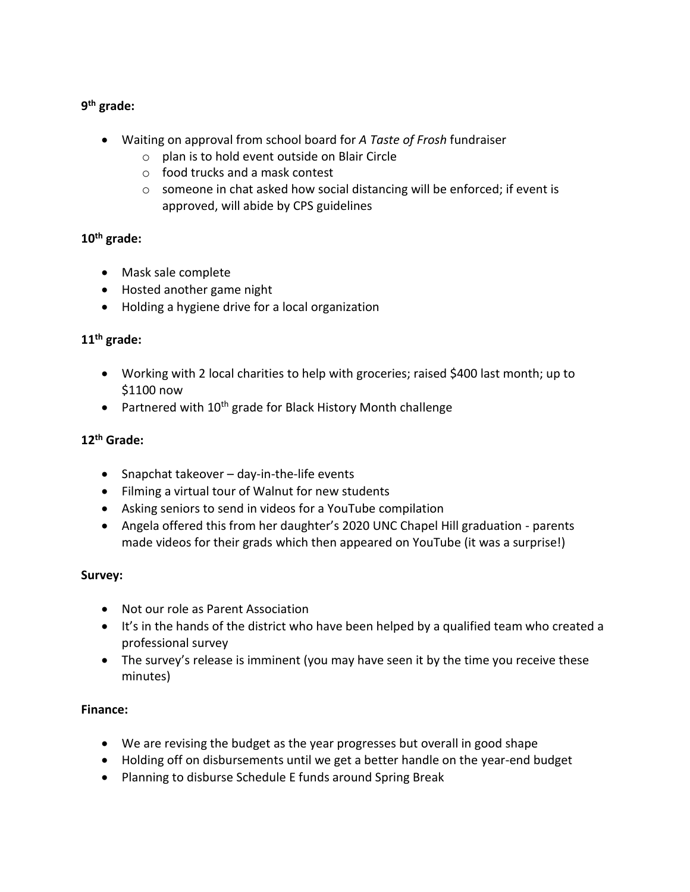# **9 th grade:**

- Waiting on approval from school board for *A Taste of Frosh* fundraiser
	- $\circ$  plan is to hold event outside on Blair Circle
	- o food trucks and a mask contest
	- o someone in chat asked how social distancing will be enforced; if event is approved, will abide by CPS guidelines

# **10th grade:**

- Mask sale complete
- Hosted another game night
- Holding a hygiene drive for a local organization

# **11th grade:**

- Working with 2 local charities to help with groceries; raised \$400 last month; up to \$1100 now
- Partnered with  $10^{th}$  grade for Black History Month challenge

# **12th Grade:**

- Snapchat takeover day-in-the-life events
- Filming a virtual tour of Walnut for new students
- Asking seniors to send in videos for a YouTube compilation
- Angela offered this from her daughter's 2020 UNC Chapel Hill graduation parents made videos for their grads which then appeared on YouTube (it was a surprise!)

# **Survey:**

- Not our role as Parent Association
- It's in the hands of the district who have been helped by a qualified team who created a professional survey
- The survey's release is imminent (you may have seen it by the time you receive these minutes)

# **Finance:**

- We are revising the budget as the year progresses but overall in good shape
- Holding off on disbursements until we get a better handle on the year-end budget
- Planning to disburse Schedule E funds around Spring Break